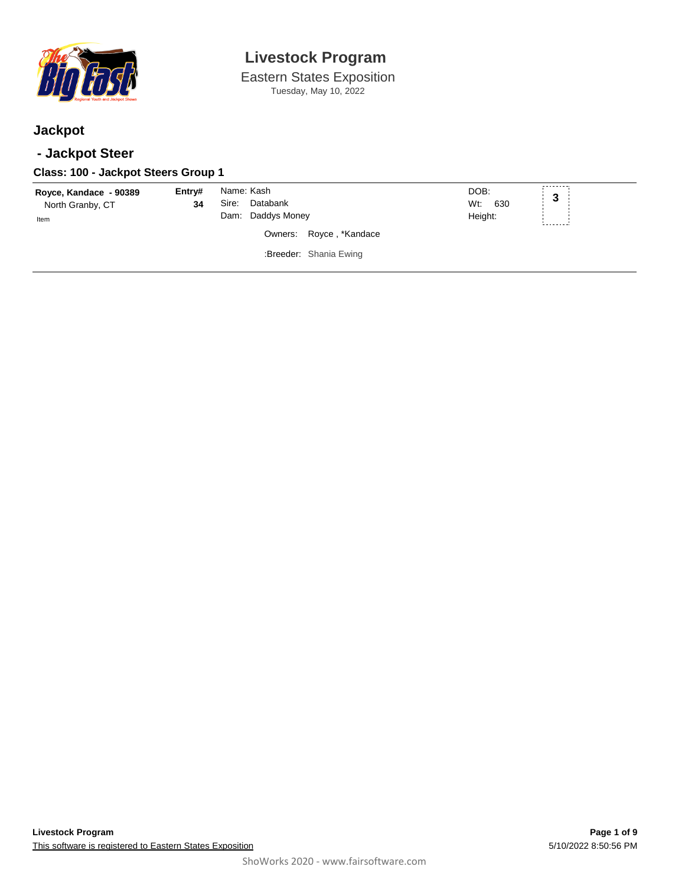

Eastern States Exposition Tuesday, May 10, 2022

### **Jackpot**

### **- Jackpot Steer**

| Class: 100 - Jackpot Steers Group 1                |              |                                                      |                                                   |                            |   |
|----------------------------------------------------|--------------|------------------------------------------------------|---------------------------------------------------|----------------------------|---|
| Royce, Kandace - 90389<br>North Granby, CT<br>Item | Entry#<br>34 | Name: Kash<br>Databank<br>Sire:<br>Dam: Daddys Money | Owners: Royce, *Kandace<br>:Breeder: Shania Ewing | DOB:<br>Wt: 630<br>Height: | 3 |
|                                                    |              |                                                      |                                                   |                            |   |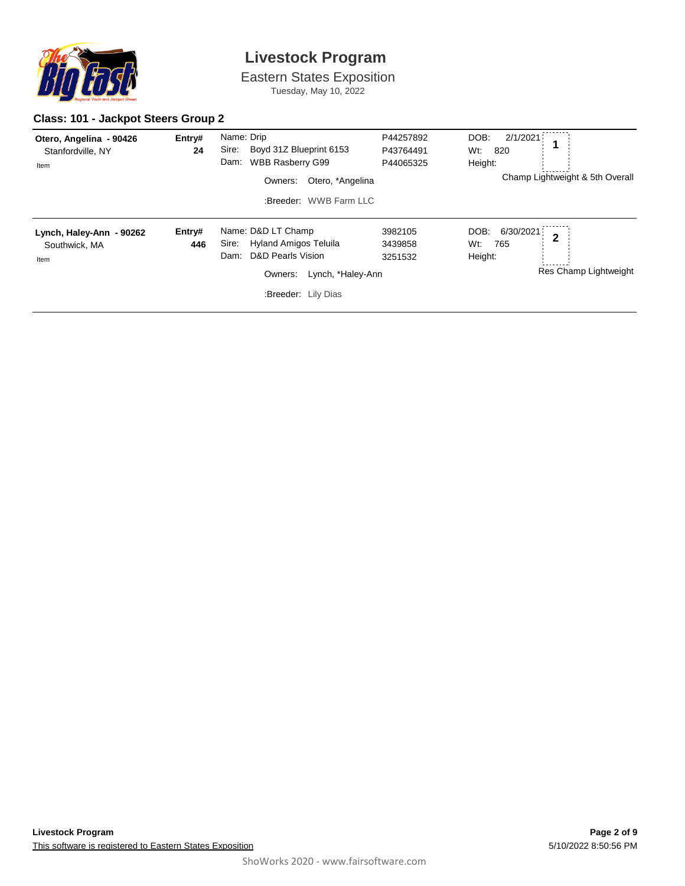

Eastern States Exposition Tuesday, May 10, 2022

#### **Class: 101 - Jackpot Steers Group 2**

| Otero, Angelina - 90426<br>Stanfordville, NY<br>Item | Entry#<br>24  | Name: Drip<br>Sire:<br>Boyd 31Z Blueprint 6153<br><b>WBB Rasberry G99</b><br>Dam:<br>Otero, *Angelina<br>Owners:<br>:Breeder: WWB Farm LLC          | P44257892<br>P43764491<br>P44065325 | DOB:<br>2/1/2021<br>Wt:<br>820<br>Height:<br>Champ Lightweight & 5th Overall          |
|------------------------------------------------------|---------------|-----------------------------------------------------------------------------------------------------------------------------------------------------|-------------------------------------|---------------------------------------------------------------------------------------|
| Lynch, Haley-Ann - 90262<br>Southwick, MA<br>Item    | Entry#<br>446 | Name: D&D LT Champ<br>Hyland Amigos Teluila<br>Sire:<br><b>D&amp;D Pearls Vision</b><br>Dam:<br>Lynch, *Haley-Ann<br>Owners:<br>:Breeder: Lily Dias | 3982105<br>3439858<br>3251532       | DOB:<br>6/30/2021<br>$\overline{2}$<br>Wt:<br>765<br>Height:<br>Res Champ Lightweight |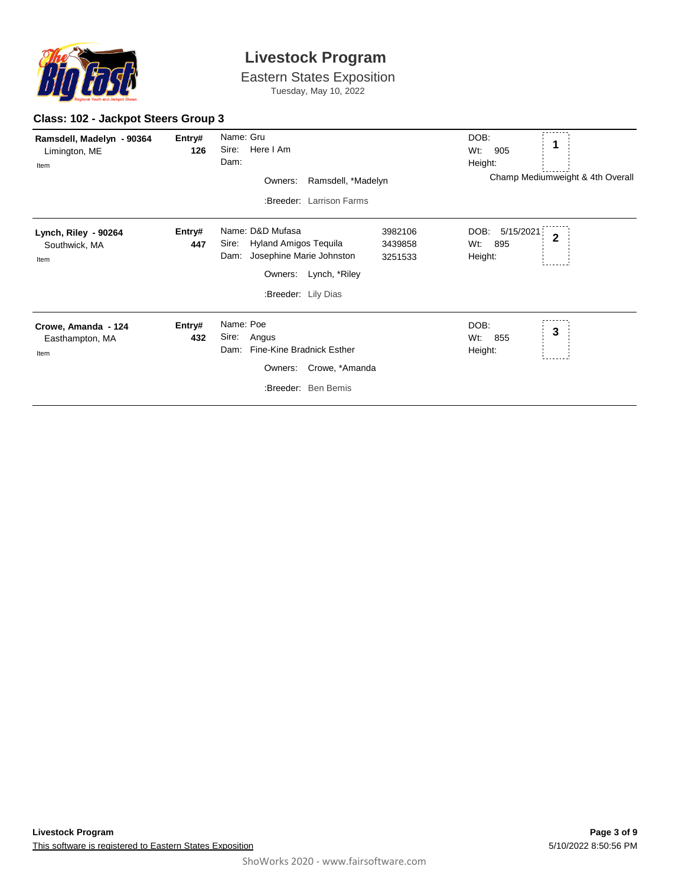

Eastern States Exposition Tuesday, May 10, 2022

#### **Class: 102 - Jackpot Steers Group 3**

| Ramsdell, Madelyn - 90364<br>Limington, ME<br>Item | Entry#<br>126 | Name: Gru<br>Here I Am<br>Sire:<br>Dam:<br>Ramsdell, *Madelyn<br>Owners:<br>:Breeder: Larrison Farms                                      |                               | DOB:<br>Wt:<br>905<br>Height:<br>Champ Mediumweight & 4th Overall |
|----------------------------------------------------|---------------|-------------------------------------------------------------------------------------------------------------------------------------------|-------------------------------|-------------------------------------------------------------------|
| Lynch, Riley - 90264<br>Southwick, MA<br>Item      | Entry#<br>447 | Name: D&D Mufasa<br>Hyland Amigos Tequila<br>Sire:<br>Josephine Marie Johnston<br>Dam:<br>Lynch, *Riley<br>Owners:<br>:Breeder: Lily Dias | 3982106<br>3439858<br>3251533 | 5/15/2021<br>DOB:<br>$\overline{2}$<br>895<br>Wt.<br>Height:      |
| Crowe, Amanda - 124<br>Easthampton, MA<br>Item     | Entry#<br>432 | Name: Poe<br>Sire:<br>Angus<br>Fine-Kine Bradnick Esther<br>Dam:<br>Crowe, *Amanda<br>Owners:<br>:Breeder: Ben Bemis                      |                               | DOB:<br>3<br>Wt:<br>855<br>Height:                                |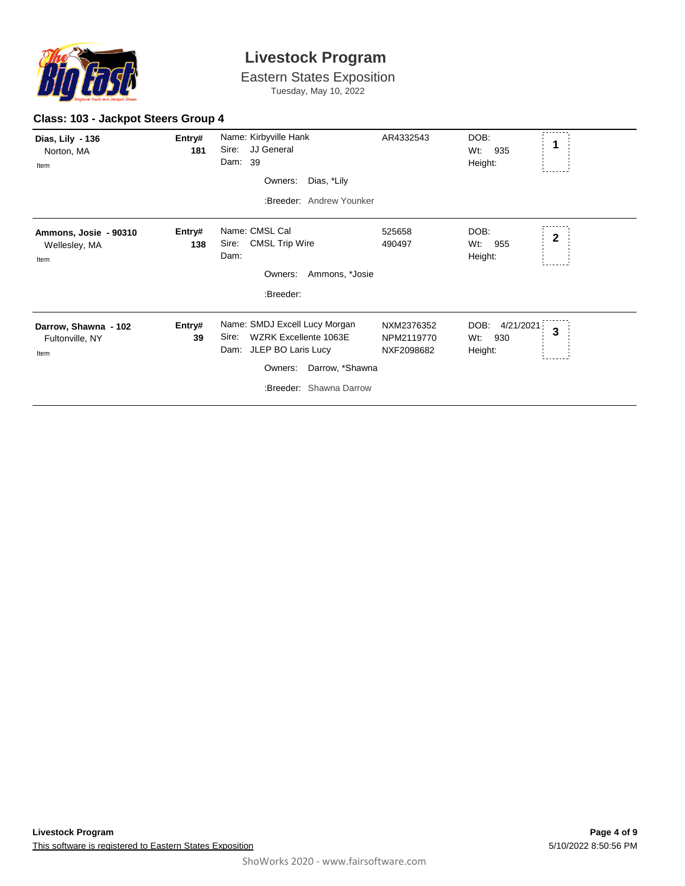

Eastern States Exposition

Tuesday, May 10, 2022

#### **Class: 103 - Jackpot Steers Group 4**

| Dias, Lily - 136<br>Norton, MA<br>Item          | Entry#<br>181 | Name: Kirbyville Hank<br>JJ General<br>Sire:<br>Dam: 39<br>Dias, *Lily<br>Owners:<br>:Breeder: Andrew Younker                                              | AR4332543                              | DOB:<br>1<br>Wt.<br>935<br>Height:              |
|-------------------------------------------------|---------------|------------------------------------------------------------------------------------------------------------------------------------------------------------|----------------------------------------|-------------------------------------------------|
| Ammons, Josie - 90310<br>Wellesley, MA<br>Item  | Entry#<br>138 | Name: CMSL Cal<br><b>CMSL Trip Wire</b><br>Sire:<br>Dam:<br>Ammons, *Josie<br>Owners:<br>:Breeder:                                                         | 525658<br>490497                       | DOB:<br>$\mathbf{2}$<br>Wt.<br>955<br>Height:   |
| Darrow, Shawna - 102<br>Fultonville, NY<br>Item | Entry#<br>39  | Name: SMDJ Excell Lucy Morgan<br><b>WZRK Excellente 1063E</b><br>Sire:<br>Dam: JLEP BO Laris Lucy<br>Owners:<br>Darrow, *Shawna<br>:Breeder: Shawna Darrow | NXM2376352<br>NPM2119770<br>NXF2098682 | DOB:<br>4/21/2021<br>3<br>Wt:<br>930<br>Height: |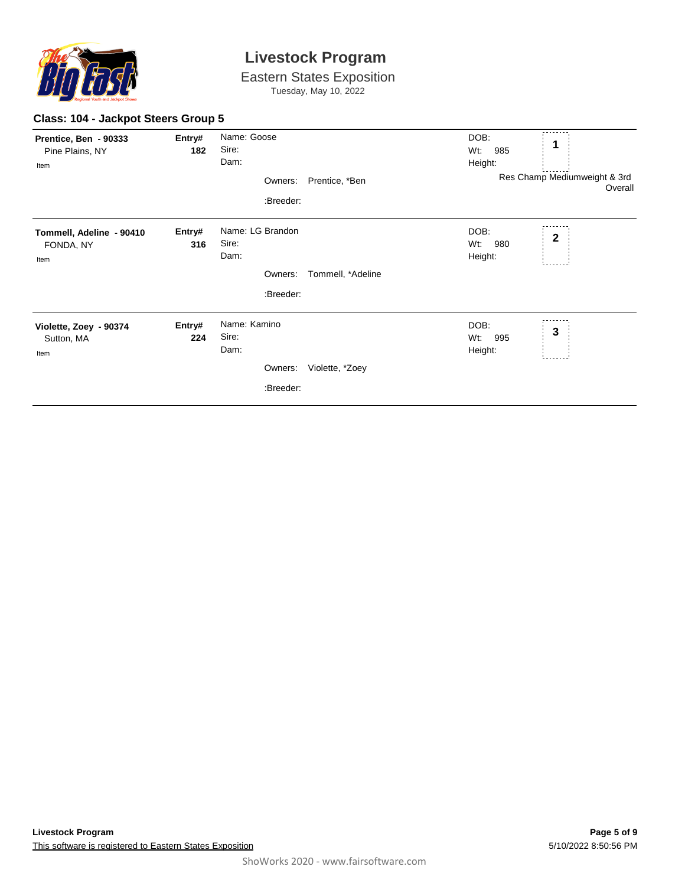

Eastern States Exposition Tuesday, May 10, 2022

#### **Class: 104 - Jackpot Steers Group 5**

| Prentice, Ben - 90333<br>Pine Plains, NY<br>Item | Entry#<br>182 | Name: Goose<br>Sire:<br>Dam:                          | DOB:<br>1<br>Wt:<br>985<br>Height: |                                              |  |
|--------------------------------------------------|---------------|-------------------------------------------------------|------------------------------------|----------------------------------------------|--|
|                                                  |               | Owners:<br>:Breeder:                                  | Prentice, *Ben                     | Res Champ Mediumweight & 3rd<br>Overall      |  |
| Tommell, Adeline - 90410<br>FONDA, NY<br>Item    | Entry#<br>316 | Name: LG Brandon<br>Sire:<br>Dam:                     |                                    | DOB:<br>$\mathbf 2$<br>Wt:<br>980<br>Height: |  |
|                                                  |               | Owners:<br>:Breeder:                                  | Tommell, *Adeline                  |                                              |  |
| Violette, Zoey - 90374<br>Sutton, MA<br>Item     | Entry#<br>224 | Name: Kamino<br>Sire:<br>Dam:<br>Owners:<br>:Breeder: | Violette, *Zoey                    | DOB:<br>3<br>Wt:<br>995<br>Height:           |  |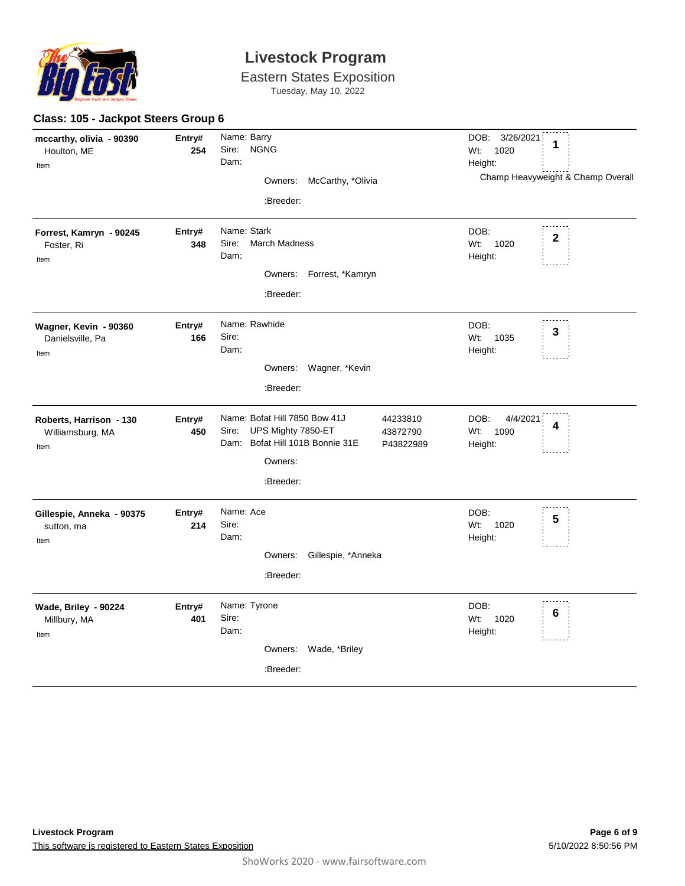

**Class: 105 - Jackpot Steers Group 6**

### **Livestock Program**

Eastern States Exposition Tuesday, May 10, 2022

| mccarthy, olivia - 90390<br>Houlton, ME<br>Item     | Entry#<br>254 | Name: Barry<br><b>NGNG</b><br>Sire:<br>Dam:<br>McCarthy, *Olivia<br>Owners:<br>:Breeder:                                                                     | DOB: 3/26/2021<br>1<br>Wt:<br>1020<br>Height:<br>Champ Heavyweight & Champ Overall |
|-----------------------------------------------------|---------------|--------------------------------------------------------------------------------------------------------------------------------------------------------------|------------------------------------------------------------------------------------|
| Forrest, Kamryn - 90245<br>Foster, Ri<br>Item       | Entry#<br>348 | Name: Stark<br><b>March Madness</b><br>Sire:<br>Dam:<br>Owners:<br>Forrest, *Kamryn<br>:Breeder:                                                             | DOB:<br>$\mathbf 2$<br>Wt:<br>1020<br>Height:                                      |
| Wagner, Kevin - 90360<br>Danielsville, Pa<br>Item   | Entry#<br>166 | Name: Rawhide<br>Sire:<br>Dam:<br>Wagner, *Kevin<br>Owners:<br>:Breeder:                                                                                     | DOB:<br>3<br>Wt:<br>1035<br>Height:                                                |
| Roberts, Harrison - 130<br>Williamsburg, MA<br>Item | Entry#<br>450 | Name: Bofat Hill 7850 Bow 41J<br>44233810<br>UPS Mighty 7850-ET<br>Sire:<br>43872790<br>Dam: Bofat Hill 101B Bonnie 31E<br>P43822989<br>Owners:<br>:Breeder: | DOB:<br>4/4/2021<br>4<br>Wt:<br>1090<br>Height:                                    |
| Gillespie, Anneka - 90375<br>sutton, ma<br>Item     | Entry#<br>214 | Name: Ace<br>Sire:<br>Dam:<br>Owners:<br>Gillespie, *Anneka<br>:Breeder:                                                                                     | DOB:<br>5<br>Wt:<br>1020<br>Height:                                                |
| Wade, Briley - 90224<br>Millbury, MA<br>Item        | Entry#<br>401 | Name: Tyrone<br>Sire:<br>Dam:<br>Owners:<br>Wade, *Briley<br>:Breeder:                                                                                       | DOB:<br>6<br>Wt:<br>1020<br>Height:                                                |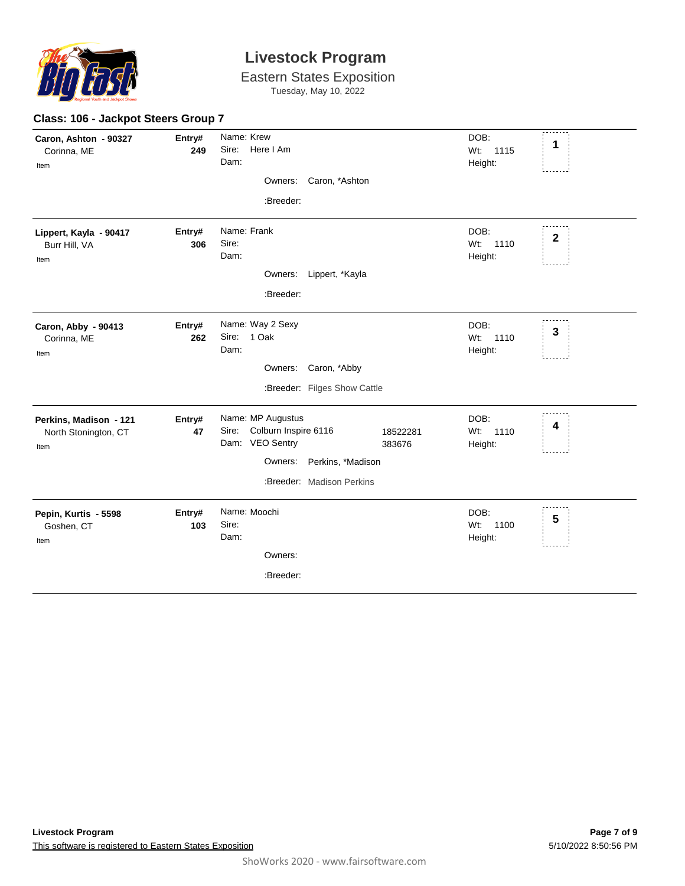

Eastern States Exposition Tuesday, May 10, 2022

| Class: 106 - Jackpot Steers Group 7                    |               |                                                                                                                                                    |                                                       |  |  |  |
|--------------------------------------------------------|---------------|----------------------------------------------------------------------------------------------------------------------------------------------------|-------------------------------------------------------|--|--|--|
| Caron, Ashton - 90327<br>Corinna, ME<br>Item           | Entry#<br>249 | Name: Krew<br>Sire: Here I Am<br>Dam:<br>Caron, *Ashton<br>Owners:<br>:Breeder:                                                                    | DOB:<br>1<br>Wt:<br>1115<br>Height:                   |  |  |  |
| Lippert, Kayla - 90417<br>Burr Hill, VA<br>Item        | Entry#<br>306 | Name: Frank<br>Sire:<br>Dam:<br>Owners: Lippert, *Kayla<br>:Breeder:                                                                               | DOB:<br>$\boldsymbol{2}$<br>1110<br>$Wt$ :<br>Height: |  |  |  |
| Caron, Abby - 90413<br>Corinna, ME<br>Item             | Entry#<br>262 | Name: Way 2 Sexy<br>Sire: 1 Oak<br>Dam:<br>Caron, *Abby<br>Owners:<br>:Breeder: Filges Show Cattle                                                 | DOB:<br>$\mathbf{3}$<br>Wt:<br>1110<br>Height:        |  |  |  |
| Perkins, Madison - 121<br>North Stonington, CT<br>Item | Entry#<br>47  | Name: MP Augustus<br>Sire: Colburn Inspire 6116<br>18522281<br>Dam: VEO Sentry<br>383676<br>Owners: Perkins, *Madison<br>:Breeder: Madison Perkins | DOB:<br>4<br>1110<br>$Wt$ :<br>Height:                |  |  |  |
| Pepin, Kurtis - 5598<br>Goshen, CT<br>Item             | Entry#<br>103 | Name: Moochi<br>Sire:<br>Dam:<br>Owners:<br>:Breeder:                                                                                              | DOB:<br>5<br>Wt:<br>1100<br>Height:                   |  |  |  |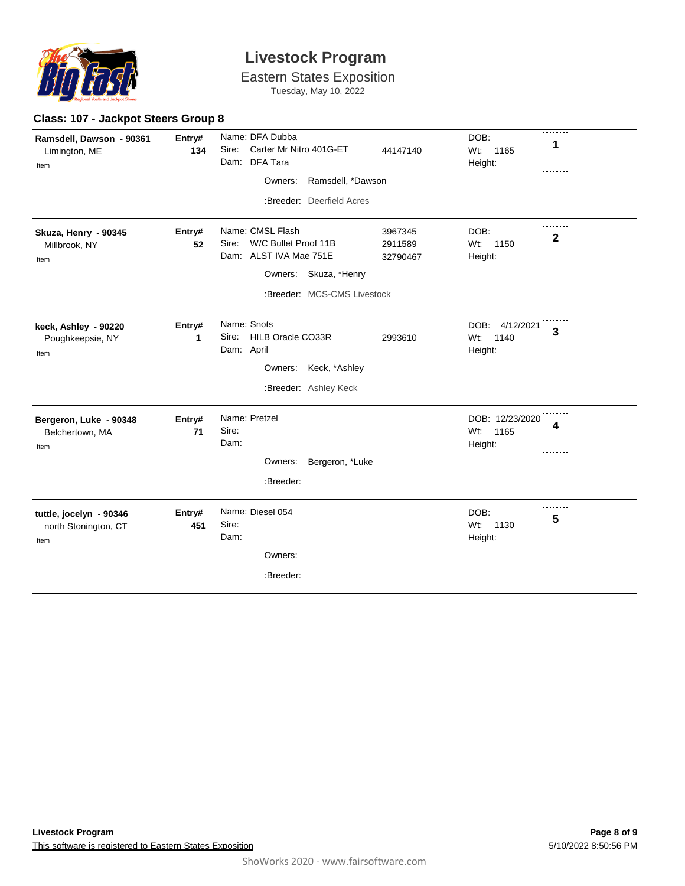

**Class: 107 - Jackpot Steers Group 8**

## **Livestock Program**

Eastern States Exposition Tuesday, May 10, 2022

| Ramsdell, Dawson - 90361<br>Limington, ME<br>Item       | Entry#<br>134 | Name: DFA Dubba<br>Sire:<br>Carter Mr Nitro 401G-ET<br>Dam: DFA Tara<br>Ramsdell, *Dawson<br>Owners:<br>:Breeder: Deerfield Acres | 44147140                       | DOB:<br>1<br>$Wt$ :<br>1165<br>Height:                      |
|---------------------------------------------------------|---------------|-----------------------------------------------------------------------------------------------------------------------------------|--------------------------------|-------------------------------------------------------------|
| Skuza, Henry - 90345<br>Millbrook, NY<br>Item           | Entry#<br>52  | Name: CMSL Flash<br>Sire: W/C Bullet Proof 11B<br>Dam: ALST IVA Mae 751E<br>Owners: Skuza, *Henry<br>:Breeder: MCS-CMS Livestock  | 3967345<br>2911589<br>32790467 | DOB:<br>$\mathbf{2}$<br>Wt: 1150<br>Height:                 |
| keck, Ashley - 90220<br>Poughkeepsie, NY<br>Item        | Entry#<br>1   | Name: Snots<br>Sire:<br>HILB Oracle CO33R<br>Dam: April<br>Owners: Keck, *Ashley<br>:Breeder: Ashley Keck                         | 2993610                        | DOB:<br>4/12/2021<br>3<br>Wt:<br>1140<br>Height:            |
| Bergeron, Luke - 90348<br>Belchertown, MA<br>Item       | Entry#<br>71  | Name: Pretzel<br>Sire:<br>Dam:<br>Owners: Bergeron, *Luke<br>:Breeder:                                                            |                                | DOB: 12/23/2020<br>4<br>W <sub>t</sub> :<br>1165<br>Height: |
| tuttle, jocelyn - 90346<br>north Stonington, CT<br>Item | Entry#<br>451 | Name: Diesel 054<br>Sire:<br>Dam:<br>Owners:<br>:Breeder:                                                                         |                                | DOB:<br>$5\phantom{.0}$<br>Wt: 1130<br>Height:              |